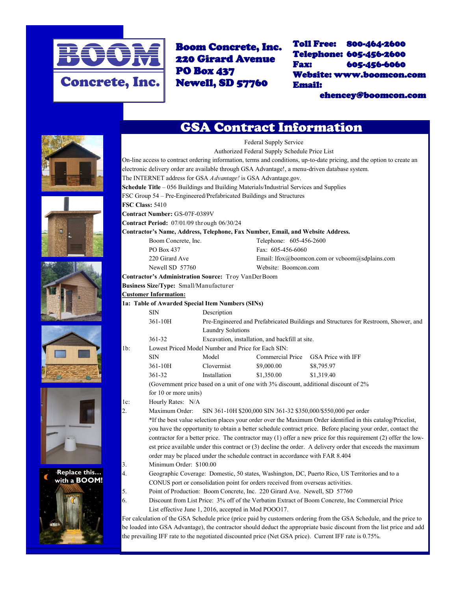

Boom Concrete, Inc. 220 Girard Avenue PO Box 437 Newell, SD 57760

Toll Free: 800-464-2600 Telephone: 605-456-2600 Fax: 605-456-6060 Website: www.boomcon.com Email:

ehencey@boomcon.com











## **Replace this… with a BOOM!**



| <b>GSA Contract Information</b> |  |  |  |
|---------------------------------|--|--|--|
|                                 |  |  |  |
|                                 |  |  |  |

Federal Supply Service Authorized Federal Supply Schedule Price List On-line access to contract ordering information, terms and conditions, up-to-date pricing, and the option to create an electronic delivery order are available through GSA Advantage!, a menu-driven database system. The INTERNET address for GSA *A dvantage!* is GSA Advantage.gov. **Schedule Title** – 056 Buildings and Building Materials/Industrial Services and Supplies FSC Group 54 – Pre-Engineered/Prefabricated Buildings and Structures **FSC Class:** 5410 **Contract Number:** GS-07F-0389V **Contract Period:** 07/01/09 through 06/30/24 **Contractor's Name, Address, Telephone, Fax Number, Email, and Website Address.** Boom Concrete, Inc. Telephone: 605-456-2600 PO Box 437 Fax: 605-456-6060 220 Girard Ave Email: lfox@boomcon.com or vcboom@sdplains.com Newell SD 57760 Website: Boomcon.com **Contractor's Administration Source:** Troy VanDerBoom **Business Size/Type:** Small/Manufacturer **Customer Information: 1a: Table of Awarded Special Item Numbers (SINs)** SIN Description 361-10H Pre-Engineered and Prefabricated Buildings and Structures for Restroom, Shower, and Laundry Solutions 361-32 Excavation, installation, and backfill at site. 1b: Lowest Priced Model Number and Price for Each SIN: SIN Model Commercial Price GSA Price with IFF 361-10H Clovermist \$9,000.00 \$8,795.97 361-32 Installation \$1,350.00 \$1,319.40 (Government price based on a unit of one with 3% discount, additional discount of 2% for 10 or more units) 1c: Hourly Rates: N/A 2. Maximum Order: SIN 361-10H \$200,000 SIN 361-32 \$350,000/\$550,000 per order \*If the best value selection places your order over the Maximum Order identified in this catalog/Pricelist, you have the opportunity to obtain a better schedule contract price. Before placing your order, contact the contractor for a better price. The contractor may (1) offer a new price for this requirement (2) offer the lowest price available under this contract or (3) decline the order. A delivery order that exceeds the maximum order may be placed under the schedule contract in accordance with FAR 8.404 3. Minimum Order: \$100.00 4. Geographic Coverage: Domestic, 50 states, Washington, DC, Puerto Rico, US Territories and to a CONUS port or consolidation point for orders received from overseas activities. 5. Point of Production: Boom Concrete, Inc. 220 Girard Ave. Newell, SD 57760 6. Discount from List Price: 3% off of the Verbatim Extract of Boom Concrete, Inc Commercial Price List effective June 1, 2016, accepted in Mod POOO17.

For calculation of the GSA Schedule price (price paid by customers ordering from the GSA Schedule, and the price to be loaded into GSA Advantage), the contractor should deduct the appropriate basic discount from the list price and add the prevailing IFF rate to the negotiated discounted price (Net GSA price). Current IFF rate is 0.75%.